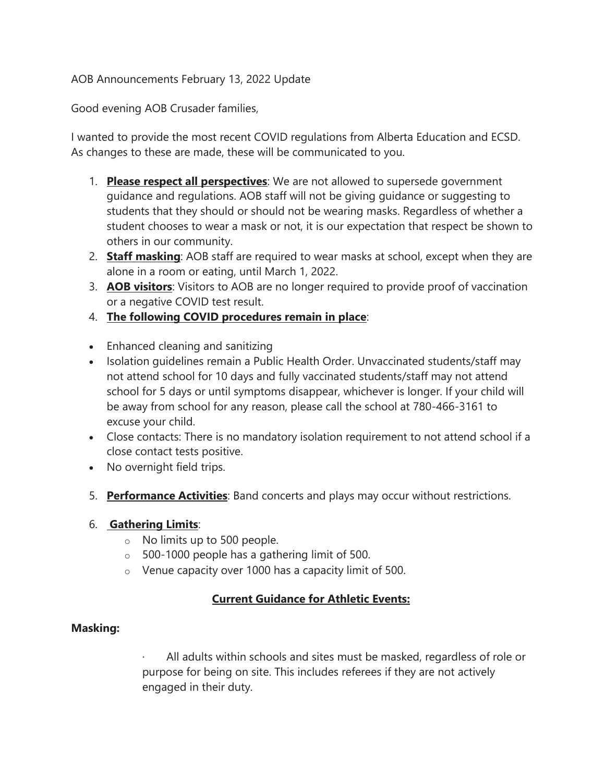### AOB Announcements February 13, 2022 Update

Good evening AOB Crusader families,

I wanted to provide the most recent COVID regulations from Alberta Education and ECSD. As changes to these are made, these will be communicated to you.

- 1. **Please respect all perspectives**: We are not allowed to supersede government guidance and regulations. AOB staff will not be giving guidance or suggesting to students that they should or should not be wearing masks. Regardless of whether a student chooses to wear a mask or not, it is our expectation that respect be shown to others in our community.
- 2. **Staff masking**: AOB staff are required to wear masks at school, except when they are alone in a room or eating, until March 1, 2022.
- 3. **AOB visitors**: Visitors to AOB are no longer required to provide proof of vaccination or a negative COVID test result.
- 4. **The following COVID procedures remain in place**:
- Enhanced cleaning and sanitizing
- Isolation guidelines remain a Public Health Order. Unvaccinated students/staff may not attend school for 10 days and fully vaccinated students/staff may not attend school for 5 days or until symptoms disappear, whichever is longer. If your child will be away from school for any reason, please call the school at 780-466-3161 to excuse your child.
- Close contacts: There is no mandatory isolation requirement to not attend school if a close contact tests positive.
- No overnight field trips.
- 5. **Performance Activities**: Band concerts and plays may occur without restrictions.

#### 6. **Gathering Limits**:

- o No limits up to 500 people.
- $\circ$  500-1000 people has a gathering limit of 500.
- o Venue capacity over 1000 has a capacity limit of 500.

# **Current Guidance for Athletic Events:**

#### **Masking:**

All adults within schools and sites must be masked, regardless of role or purpose for being on site. This includes referees if they are not actively engaged in their duty.